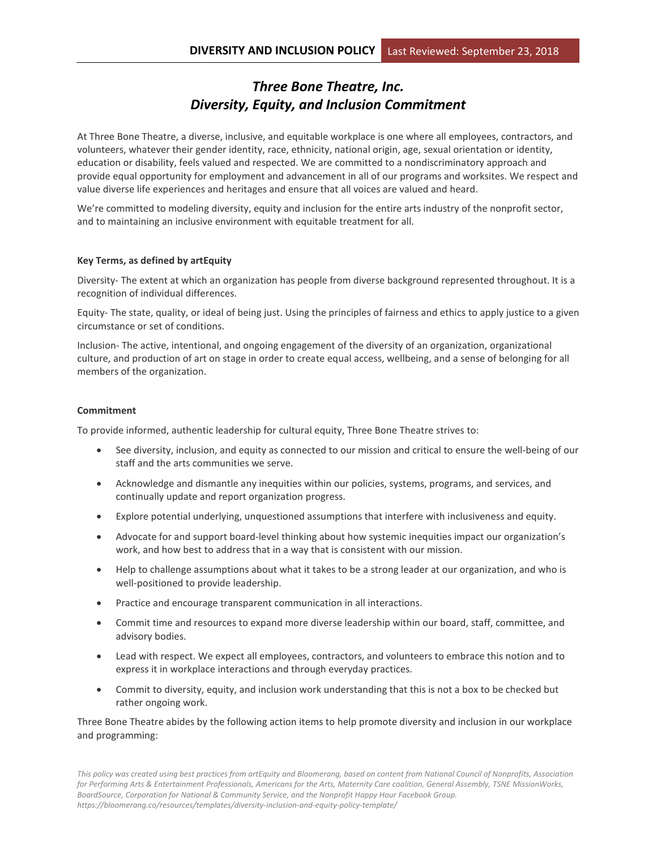## *Three Bone Theatre, Inc. Diversity, Equity, and Inclusion Commitment*

At Three Bone Theatre, a diverse, inclusive, and equitable workplace is one where all employees, contractors, and volunteers, whatever their gender identity, race, ethnicity, national origin, age, sexual orientation or identity, education or disability, feels valued and respected. We are committed to a nondiscriminatory approach and provide equal opportunity for employment and advancement in all of our programs and worksites. We respect and value diverse life experiences and heritages and ensure that all voices are valued and heard.

We're committed to modeling diversity, equity and inclusion for the entire arts industry of the nonprofit sector, and to maintaining an inclusive environment with equitable treatment for all.

## **Key Terms, as defined by artEquity**

Diversity- The extent at which an organization has people from diverse background represented throughout. It is a recognition of individual differences.

Equity- The state, quality, or ideal of being just. Using the principles of fairness and ethics to apply justice to a given circumstance or set of conditions.

Inclusion- The active, intentional, and ongoing engagement of the diversity of an organization, organizational culture, and production of art on stage in order to create equal access, wellbeing, and a sense of belonging for all members of the organization.

## **Commitment**

To provide informed, authentic leadership for cultural equity, Three Bone Theatre strives to:

- See diversity, inclusion, and equity as connected to our mission and critical to ensure the well-being of our staff and the arts communities we serve.
- Acknowledge and dismantle any inequities within our policies, systems, programs, and services, and continually update and report organization progress.
- Explore potential underlying, unquestioned assumptions that interfere with inclusiveness and equity.
- Advocate for and support board-level thinking about how systemic inequities impact our organization's work, and how best to address that in a way that is consistent with our mission.
- Help to challenge assumptions about what it takes to be a strong leader at our organization, and who is well-positioned to provide leadership.
- Practice and encourage transparent communication in all interactions.
- Commit time and resources to expand more diverse leadership within our board, staff, committee, and advisory bodies.
- Lead with respect. We expect all employees, contractors, and volunteers to embrace this notion and to express it in workplace interactions and through everyday practices.
- Commit to diversity, equity, and inclusion work understanding that this is not a box to be checked but rather ongoing work.

Three Bone Theatre abides by the following action items to help promote diversity and inclusion in our workplace and programming: